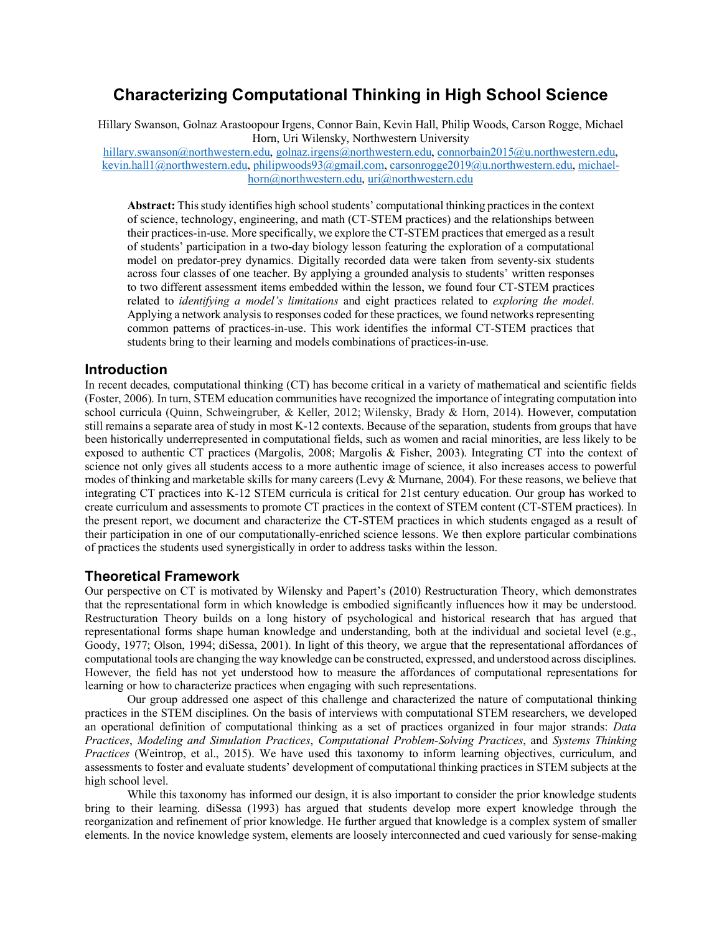# **Characterizing Computational Thinking in High School Science**

Hillary Swanson, Golnaz Arastoopour Irgens, Connor Bain, Kevin Hall, Philip Woods, Carson Rogge, Michael Horn, Uri Wilensky, Northwestern University hillary.swanson@northwestern.edu, golnaz.irgens@northwestern.edu, connorbain2015@u.northwestern.edu, kevin.hall1@northwestern.edu, philipwoods93@gmail.com, carsonrogge2019@u.northwestern.edu, michaelhorn@northwestern.edu, uri@northwestern.edu

**Abstract:** This study identifies high school students' computational thinking practices in the context of science, technology, engineering, and math (CT-STEM practices) and the relationships between their practices-in-use. More specifically, we explore the CT-STEM practices that emerged as a result of students' participation in a two-day biology lesson featuring the exploration of a computational model on predator-prey dynamics. Digitally recorded data were taken from seventy-six students across four classes of one teacher. By applying a grounded analysis to students' written responses to two different assessment items embedded within the lesson, we found four CT-STEM practices related to *identifying a model's limitations* and eight practices related to *exploring the model*. Applying a network analysis to responses coded for these practices, we found networks representing common patterns of practices-in-use. This work identifies the informal CT-STEM practices that students bring to their learning and models combinations of practices-in-use.

## **Introduction**

In recent decades, computational thinking (CT) has become critical in a variety of mathematical and scientific fields (Foster, 2006). In turn, STEM education communities have recognized the importance of integrating computation into school curricula (Quinn, Schweingruber, & Keller, 2012; Wilensky, Brady & Horn, 2014). However, computation still remains a separate area of study in most K-12 contexts. Because of the separation, students from groups that have been historically underrepresented in computational fields, such as women and racial minorities, are less likely to be exposed to authentic CT practices (Margolis, 2008; Margolis & Fisher, 2003). Integrating CT into the context of science not only gives all students access to a more authentic image of science, it also increases access to powerful modes of thinking and marketable skills for many careers (Levy & Murnane, 2004). For these reasons, we believe that integrating CT practices into K-12 STEM curricula is critical for 21st century education. Our group has worked to create curriculum and assessments to promote CT practices in the context of STEM content (CT-STEM practices). In the present report, we document and characterize the CT-STEM practices in which students engaged as a result of their participation in one of our computationally-enriched science lessons. We then explore particular combinations of practices the students used synergistically in order to address tasks within the lesson.

# **Theoretical Framework**

Our perspective on CT is motivated by Wilensky and Papert's (2010) Restructuration Theory, which demonstrates that the representational form in which knowledge is embodied significantly influences how it may be understood. Restructuration Theory builds on a long history of psychological and historical research that has argued that representational forms shape human knowledge and understanding, both at the individual and societal level (e.g., Goody, 1977; Olson, 1994; diSessa, 2001). In light of this theory, we argue that the representational affordances of computational tools are changing the way knowledge can be constructed, expressed, and understood across disciplines. However, the field has not yet understood how to measure the affordances of computational representations for learning or how to characterize practices when engaging with such representations.

Our group addressed one aspect of this challenge and characterized the nature of computational thinking practices in the STEM disciplines. On the basis of interviews with computational STEM researchers, we developed an operational definition of computational thinking as a set of practices organized in four major strands: *Data Practices*, *Modeling and Simulation Practices*, *Computational Problem-Solving Practices*, and *Systems Thinking Practices* (Weintrop, et al., 2015). We have used this taxonomy to inform learning objectives, curriculum, and assessments to foster and evaluate students' development of computational thinking practices in STEM subjects at the high school level.

While this taxonomy has informed our design, it is also important to consider the prior knowledge students bring to their learning. diSessa (1993) has argued that students develop more expert knowledge through the reorganization and refinement of prior knowledge. He further argued that knowledge is a complex system of smaller elements. In the novice knowledge system, elements are loosely interconnected and cued variously for sense-making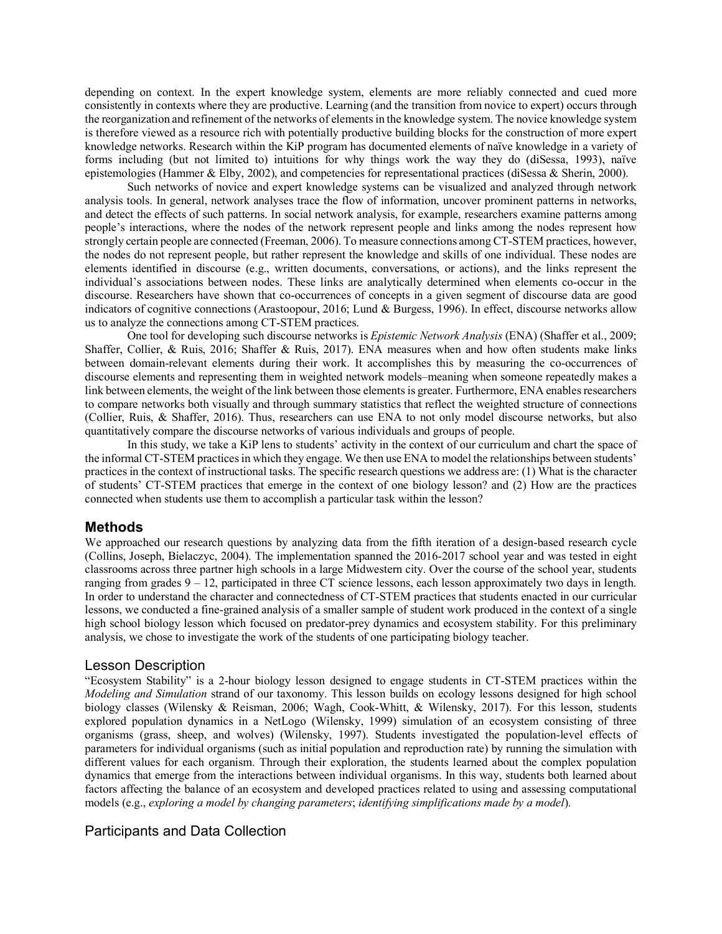depending on context. In the expert knowledge system, elements are more reliably connected and cued more consistently in contexts where they are productive. Learning (and the transition from novice to expert) occurs through the reorganization and refinement of the networks of elements in the knowledge system. The novice knowledge system is therefore viewed as a resource rich with potentially productive building blocks for the construction of more expert knowledge networks. Research within the KiP program has documented elements of naïve knowledge in a variety of forms including (but not limited to) intuitions for why things work the way they do (diSessa, 1993), naïve epistemologies (Hammer & Elby, 2002), and competencies for representational practices (diSessa & Sherin, 2000).

Such networks of novice and expert knowledge systems can be visualized and analyzed through network analysis tools. In general, network analyses trace the flow of information, uncover prominent patterns in networks, and detect the effects of such patterns. In social network analysis, for example, researchers examine patterns among people's interactions, where the nodes of the network represent people and links among the nodes represent how strongly certain people are connected (Freeman, 2006). To measure connections among CT-STEM practices, however, the nodes do not represent people, but rather represent the knowledge and skills of one individual. These nodes are elements identified in discourse (e.g., written documents, conversations, or actions), and the links represent the individual's associations between nodes. These links are analytically determined when elements co-occur in the discourse. Researchers have shown that co-occurrences of concepts in a given segment of discourse data are good indicators of cognitive connections (Arastoopour, 2016; Lund & Burgess, 1996). In effect, discourse networks allow us to analyze the connections among CT-STEM practices.

One tool for developing such discourse networks is *Epistemic Network Analysis* (ENA) (Shaffer et al., 2009; Shaffer, Collier, & Ruis, 2016; Shaffer & Ruis, 2017). ENA measures when and how often students make links between domain-relevant elements during their work. It accomplishes this by measuring the co-occurrences of discourse elements and representing them in weighted network models–meaning when someone repeatedly makes a link between elements, the weight of the link between those elements is greater. Furthermore, ENA enables researchers to compare networks both visually and through summary statistics that reflect the weighted structure of connections (Collier, Ruis, & Shaffer, 2016). Thus, researchers can use ENA to not only model discourse networks, but also quantitatively compare the discourse networks of various individuals and groups of people.

In this study, we take a KiP lens to students' activity in the context of our curriculum and chart the space of the informal CT-STEM practicesin which they engage. We then use ENA to model the relationships between students' practices in the context of instructional tasks. The specific research questions we address are: (1) What is the character of students' CT-STEM practices that emerge in the context of one biology lesson? and (2) How are the practices connected when students use them to accomplish a particular task within the lesson?

## **Methods**

We approached our research questions by analyzing data from the fifth iteration of a design-based research cycle (Collins, Joseph, Bielaczyc, 2004). The implementation spanned the 2016-2017 school year and was tested in eight classrooms across three partner high schools in a large Midwestern city. Over the course of the school year, students ranging from grades 9 – 12, participated in three CT science lessons, each lesson approximately two days in length. In order to understand the character and connectedness of CT-STEM practices that students enacted in our curricular lessons, we conducted a fine-grained analysis of a smaller sample of student work produced in the context of a single high school biology lesson which focused on predator-prey dynamics and ecosystem stability. For this preliminary analysis, we chose to investigate the work of the students of one participating biology teacher.

## Lesson Description

"Ecosystem Stability" is a 2-hour biology lesson designed to engage students in CT-STEM practices within the *Modeling and Simulation* strand of our taxonomy. This lesson builds on ecology lessons designed for high school biology classes (Wilensky & Reisman, 2006; Wagh, Cook-Whitt, & Wilensky, 2017). For this lesson, students explored population dynamics in a NetLogo (Wilensky, 1999) simulation of an ecosystem consisting of three organisms (grass, sheep, and wolves) (Wilensky, 1997). Students investigated the population-level effects of parameters for individual organisms (such as initial population and reproduction rate) by running the simulation with different values for each organism. Through their exploration, the students learned about the complex population dynamics that emerge from the interactions between individual organisms. In this way, students both learned about factors affecting the balance of an ecosystem and developed practices related to using and assessing computational models (e.g., *exploring a model by changing parameters*; *identifying simplifications made by a model*).

# Participants and Data Collection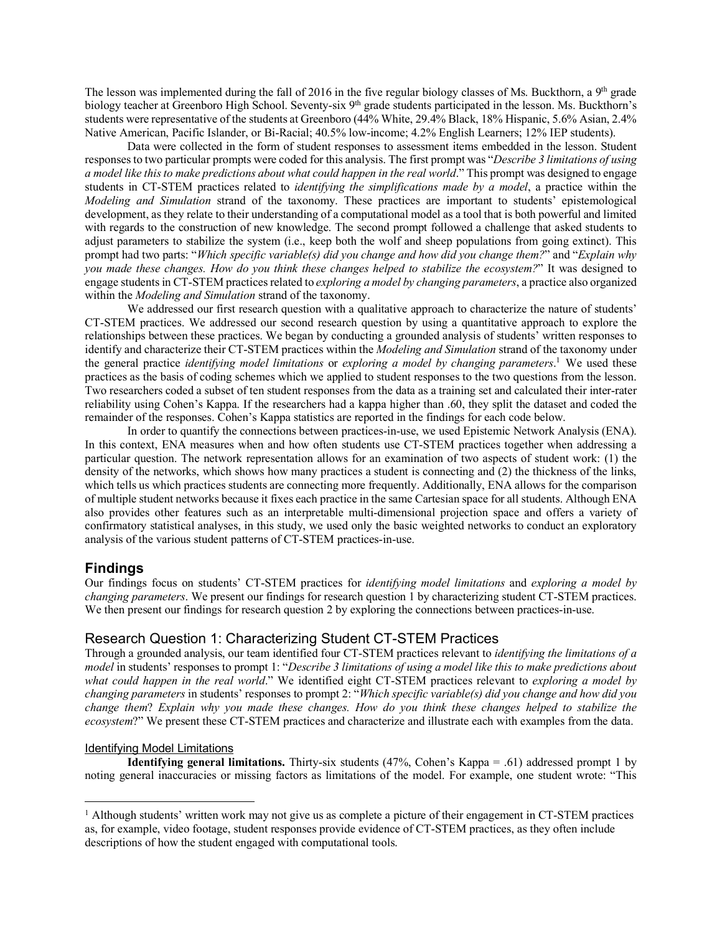The lesson was implemented during the fall of 2016 in the five regular biology classes of Ms. Buckthorn, a 9<sup>th</sup> grade biology teacher at Greenboro High School. Seventy-six 9<sup>th</sup> grade students participated in the lesson. Ms. Buckthorn's students were representative of the students at Greenboro (44% White, 29.4% Black, 18% Hispanic, 5.6% Asian, 2.4% Native American, Pacific Islander, or Bi-Racial; 40.5% low-income; 4.2% English Learners; 12% IEP students).

Data were collected in the form of student responses to assessment items embedded in the lesson. Student responses to two particular prompts were coded for this analysis. The first prompt was "*Describe 3 limitations of using a model like this to make predictions about what could happen in the real world*." This prompt was designed to engage students in CT-STEM practices related to *identifying the simplifications made by a model*, a practice within the *Modeling and Simulation* strand of the taxonomy. These practices are important to students' epistemological development, as they relate to their understanding of a computational model as a tool that is both powerful and limited with regards to the construction of new knowledge. The second prompt followed a challenge that asked students to adjust parameters to stabilize the system (i.e., keep both the wolf and sheep populations from going extinct). This prompt had two parts: "*Which specific variable(s) did you change and how did you change them?*" and "*Explain why you made these changes. How do you think these changes helped to stabilize the ecosystem?*" It was designed to engage students in CT-STEM practices related to *exploring a model by changing parameters*, a practice also organized within the *Modeling and Simulation* strand of the taxonomy.

We addressed our first research question with a qualitative approach to characterize the nature of students' CT-STEM practices. We addressed our second research question by using a quantitative approach to explore the relationships between these practices. We began by conducting a grounded analysis of students' written responses to identify and characterize their CT-STEM practices within the *Modeling and Simulation* strand of the taxonomy under the general practice *identifying model limitations* or *exploring a model by changing parameters*. <sup>1</sup> We used these practices as the basis of coding schemes which we applied to student responses to the two questions from the lesson. Two researchers coded a subset of ten student responses from the data as a training set and calculated their inter-rater reliability using Cohen's Kappa. If the researchers had a kappa higher than .60, they split the dataset and coded the remainder of the responses. Cohen's Kappa statistics are reported in the findings for each code below.

In order to quantify the connections between practices-in-use, we used Epistemic Network Analysis (ENA). In this context, ENA measures when and how often students use CT-STEM practices together when addressing a particular question. The network representation allows for an examination of two aspects of student work: (1) the density of the networks, which shows how many practices a student is connecting and (2) the thickness of the links, which tells us which practices students are connecting more frequently. Additionally, ENA allows for the comparison of multiple student networks because it fixes each practice in the same Cartesian space for all students. Although ENA also provides other features such as an interpretable multi-dimensional projection space and offers a variety of confirmatory statistical analyses, in this study, we used only the basic weighted networks to conduct an exploratory analysis of the various student patterns of CT-STEM practices-in-use.

## **Findings**

Our findings focus on students' CT-STEM practices for *identifying model limitations* and *exploring a model by changing parameters*. We present our findings for research question 1 by characterizing student CT-STEM practices. We then present our findings for research question 2 by exploring the connections between practices-in-use.

## Research Question 1: Characterizing Student CT-STEM Practices

Through a grounded analysis, our team identified four CT-STEM practices relevant to *identifying the limitations of a model* in students' responses to prompt 1: "*Describe 3 limitations of using a model like this to make predictions about what could happen in the real world*." We identified eight CT-STEM practices relevant to *exploring a model by changing parameters* in students' responses to prompt 2: "*Which specific variable(s) did you change and how did you change them*? *Explain why you made these changes. How do you think these changes helped to stabilize the ecosystem*?" We present these CT-STEM practices and characterize and illustrate each with examples from the data.

#### Identifying Model Limitations

**Identifying general limitations.** Thirty-six students (47%, Cohen's Kappa = .61) addressed prompt 1 by noting general inaccuracies or missing factors as limitations of the model. For example, one student wrote: "This

 $<sup>1</sup>$  Although students' written work may not give us as complete a picture of their engagement in CT-STEM practices</sup> as, for example, video footage, student responses provide evidence of CT-STEM practices, as they often include descriptions of how the student engaged with computational tools.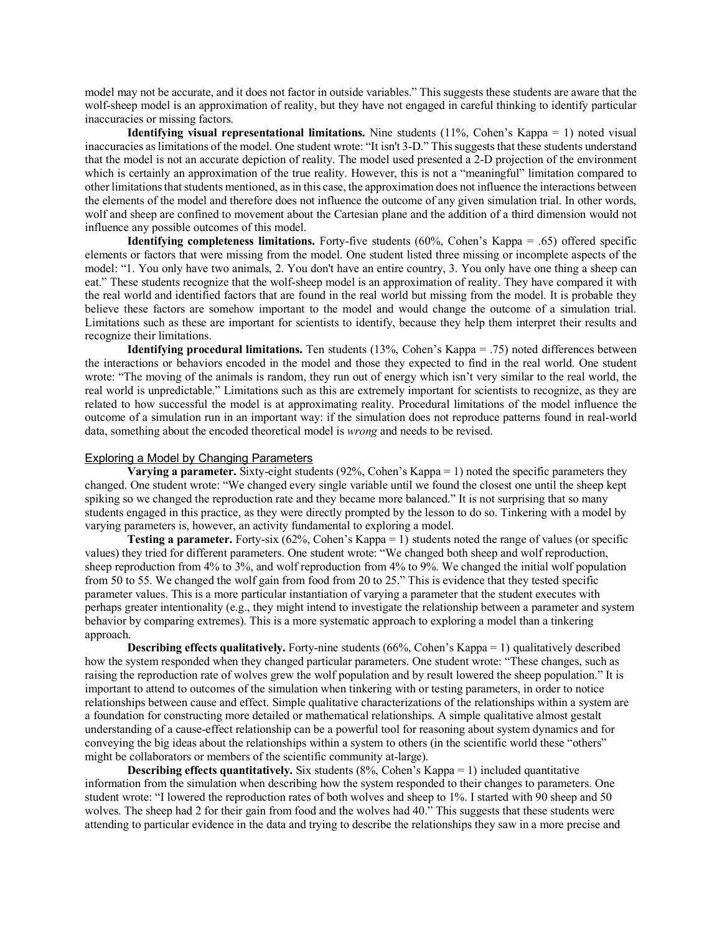model may not be accurate, and it does not factor in outside variables." This suggests these students are aware that the wolf-sheep model is an approximation of reality, but they have not engaged in careful thinking to identify particular inaccuracies or missing factors.

**Identifying visual representational limitations.** Nine students (11%, Cohen's Kappa = 1) noted visual inaccuracies as limitations of the model. One student wrote: "It isn't 3-D." This suggests that these students understand that the model is not an accurate depiction of reality. The model used presented a 2-D projection of the environment which is certainly an approximation of the true reality. However, this is not a "meaningful" limitation compared to other limitations that students mentioned, as in this case, the approximation does not influence the interactions between the elements of the model and therefore does not influence the outcome of any given simulation trial. In other words, wolf and sheep are confined to movement about the Cartesian plane and the addition of a third dimension would not influence any possible outcomes of this model.

**Identifying completeness limitations.** Forty-five students (60%, Cohen's Kappa = .65) offered specific elements or factors that were missing from the model. One student listed three missing or incomplete aspects of the model: "1. You only have two animals, 2. You don't have an entire country, 3. You only have one thing a sheep can eat." These students recognize that the wolf-sheep model is an approximation of reality. They have compared it with the real world and identified factors that are found in the real world but missing from the model. It is probable they believe these factors are somehow important to the model and would change the outcome of a simulation trial. Limitations such as these are important for scientists to identify, because they help them interpret their results and recognize their limitations.

**Identifying procedural limitations.** Ten students (13%, Cohen's Kappa = .75) noted differences between the interactions or behaviors encoded in the model and those they expected to find in the real world. One student wrote: "The moving of the animals is random, they run out of energy which isn't very similar to the real world, the real world is unpredictable." Limitations such as this are extremely important for scientists to recognize, as they are related to how successful the model is at approximating reality. Procedural limitations of the model influence the outcome of a simulation run in an important way: if the simulation does not reproduce patterns found in real-world data, something about the encoded theoretical model is *wrong* and needs to be revised.

#### Exploring a Model by Changing Parameters

**Varying a parameter.** Sixty-eight students (92%, Cohen's Kappa = 1) noted the specific parameters they changed. One student wrote: "We changed every single variable until we found the closest one until the sheep kept spiking so we changed the reproduction rate and they became more balanced." It is not surprising that so many students engaged in this practice, as they were directly prompted by the lesson to do so. Tinkering with a model by varying parameters is, however, an activity fundamental to exploring a model.

**Testing a parameter.** Forty-six (62%, Cohen's Kappa = 1) students noted the range of values (or specific values) they tried for different parameters. One student wrote: "We changed both sheep and wolf reproduction, sheep reproduction from 4% to 3%, and wolf reproduction from 4% to 9%. We changed the initial wolf population from 50 to 55. We changed the wolf gain from food from 20 to 25." This is evidence that they tested specific parameter values. This is a more particular instantiation of varying a parameter that the student executes with perhaps greater intentionality (e.g., they might intend to investigate the relationship between a parameter and system behavior by comparing extremes). This is a more systematic approach to exploring a model than a tinkering approach.

**Describing effects qualitatively.** Forty-nine students (66%, Cohen's Kappa = 1) qualitatively described how the system responded when they changed particular parameters. One student wrote: "These changes, such as raising the reproduction rate of wolves grew the wolf population and by result lowered the sheep population." It is important to attend to outcomes of the simulation when tinkering with or testing parameters, in order to notice relationships between cause and effect. Simple qualitative characterizations of the relationships within a system are a foundation for constructing more detailed or mathematical relationships. A simple qualitative almost gestalt understanding of a cause-effect relationship can be a powerful tool for reasoning about system dynamics and for conveying the big ideas about the relationships within a system to others (in the scientific world these "others" might be collaborators or members of the scientific community at-large).

**Describing effects quantitatively.** Six students (8%, Cohen's Kappa = 1) included quantitative information from the simulation when describing how the system responded to their changes to parameters. One student wrote: "I lowered the reproduction rates of both wolves and sheep to 1%. I started with 90 sheep and 50 wolves. The sheep had 2 for their gain from food and the wolves had 40." This suggests that these students were attending to particular evidence in the data and trying to describe the relationships they saw in a more precise and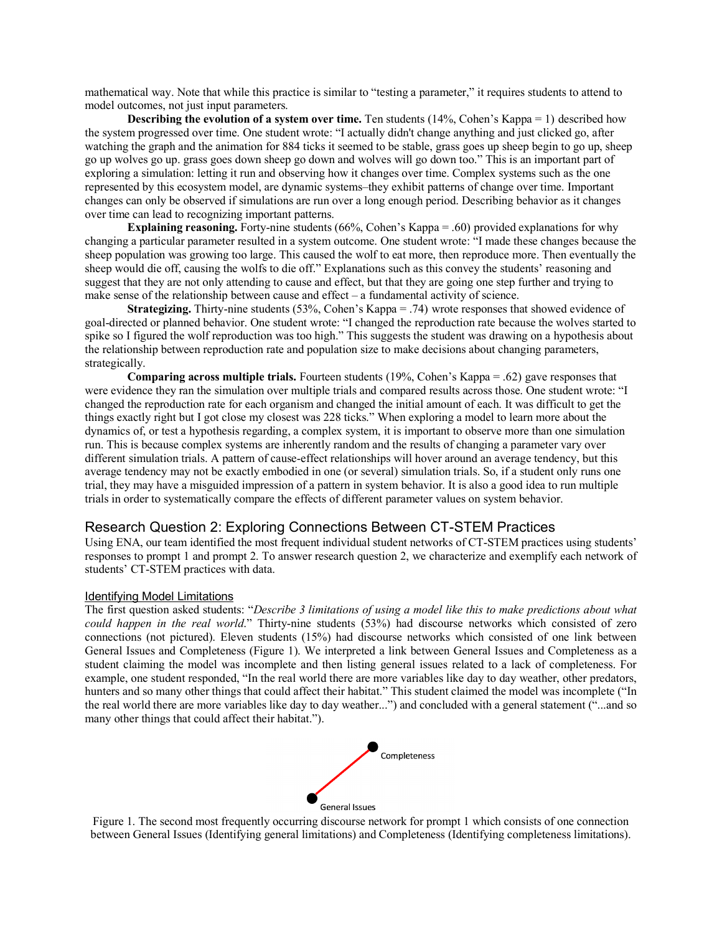mathematical way. Note that while this practice is similar to "testing a parameter," it requires students to attend to model outcomes, not just input parameters.

**Describing the evolution of a system over time.** Ten students (14%, Cohen's Kappa = 1) described how the system progressed over time. One student wrote: "I actually didn't change anything and just clicked go, after watching the graph and the animation for 884 ticks it seemed to be stable, grass goes up sheep begin to go up, sheep go up wolves go up. grass goes down sheep go down and wolves will go down too." This is an important part of exploring a simulation: letting it run and observing how it changes over time. Complex systems such as the one represented by this ecosystem model, are dynamic systems–they exhibit patterns of change over time. Important changes can only be observed if simulations are run over a long enough period. Describing behavior as it changes over time can lead to recognizing important patterns.

**Explaining reasoning.** Forty-nine students (66%, Cohen's Kappa = .60) provided explanations for why changing a particular parameter resulted in a system outcome. One student wrote: "I made these changes because the sheep population was growing too large. This caused the wolf to eat more, then reproduce more. Then eventually the sheep would die off, causing the wolfs to die off." Explanations such as this convey the students' reasoning and suggest that they are not only attending to cause and effect, but that they are going one step further and trying to make sense of the relationship between cause and effect – a fundamental activity of science.

**Strategizing.** Thirty-nine students (53%, Cohen's Kappa = .74) wrote responses that showed evidence of goal-directed or planned behavior. One student wrote: "I changed the reproduction rate because the wolves started to spike so I figured the wolf reproduction was too high." This suggests the student was drawing on a hypothesis about the relationship between reproduction rate and population size to make decisions about changing parameters, strategically.

**Comparing across multiple trials.** Fourteen students (19%, Cohen's Kappa = .62) gave responses that were evidence they ran the simulation over multiple trials and compared results across those. One student wrote: "I changed the reproduction rate for each organism and changed the initial amount of each. It was difficult to get the things exactly right but I got close my closest was 228 ticks." When exploring a model to learn more about the dynamics of, or test a hypothesis regarding, a complex system, it is important to observe more than one simulation run. This is because complex systems are inherently random and the results of changing a parameter vary over different simulation trials. A pattern of cause-effect relationships will hover around an average tendency, but this average tendency may not be exactly embodied in one (or several) simulation trials. So, if a student only runs one trial, they may have a misguided impression of a pattern in system behavior. It is also a good idea to run multiple trials in order to systematically compare the effects of different parameter values on system behavior.

## Research Question 2: Exploring Connections Between CT-STEM Practices

Using ENA, our team identified the most frequent individual student networks of CT-STEM practices using students' responses to prompt 1 and prompt 2. To answer research question 2, we characterize and exemplify each network of students' CT-STEM practices with data.

#### Identifying Model Limitations

The first question asked students: "*Describe 3 limitations of using a model like this to make predictions about what could happen in the real world*." Thirty-nine students (53%) had discourse networks which consisted of zero connections (not pictured). Eleven students (15%) had discourse networks which consisted of one link between General Issues and Completeness (Figure 1). We interpreted a link between General Issues and Completeness as a student claiming the model was incomplete and then listing general issues related to a lack of completeness. For example, one student responded, "In the real world there are more variables like day to day weather, other predators, hunters and so many other things that could affect their habitat." This student claimed the model was incomplete ("In the real world there are more variables like day to day weather...") and concluded with a general statement ("...and so many other things that could affect their habitat.").



Figure 1. The second most frequently occurring discourse network for prompt 1 which consists of one connection between General Issues (Identifying general limitations) and Completeness (Identifying completeness limitations).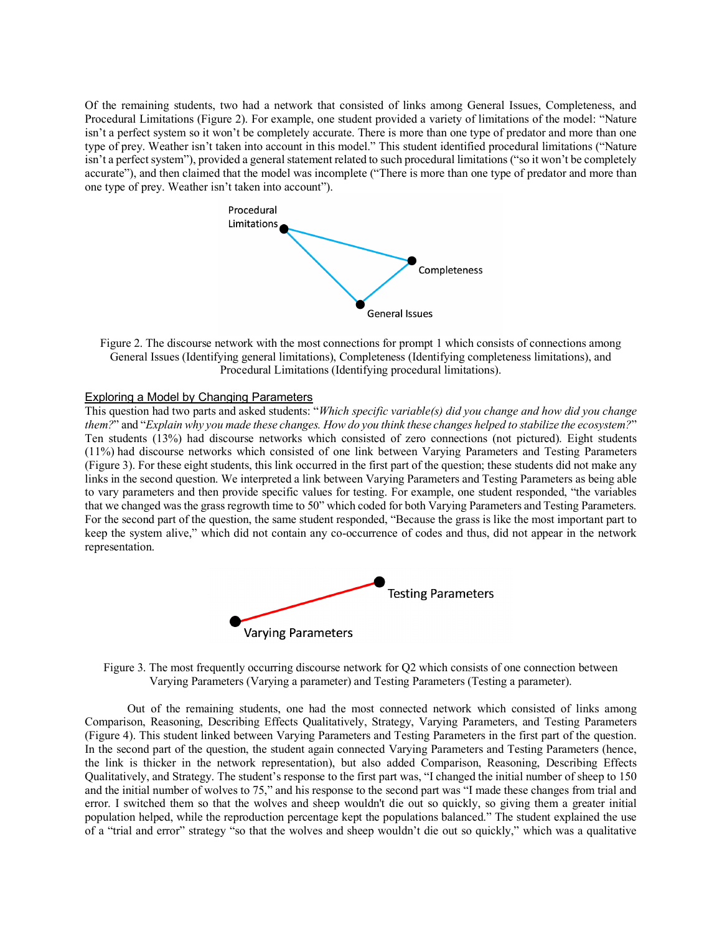Of the remaining students, two had a network that consisted of links among General Issues, Completeness, and Procedural Limitations (Figure 2). For example, one student provided a variety of limitations of the model: "Nature isn't a perfect system so it won't be completely accurate. There is more than one type of predator and more than one type of prey. Weather isn't taken into account in this model." This student identified procedural limitations ("Nature isn't a perfect system"), provided a general statement related to such procedural limitations ("so it won't be completely accurate"), and then claimed that the model was incomplete ("There is more than one type of predator and more than one type of prey. Weather isn't taken into account").



Figure 2. The discourse network with the most connections for prompt 1 which consists of connections among General Issues (Identifying general limitations), Completeness (Identifying completeness limitations), and Procedural Limitations (Identifying procedural limitations).

#### Exploring a Model by Changing Parameters

This question had two parts and asked students: "*Which specific variable(s) did you change and how did you change them?*" and "*Explain why you made these changes. How do you think these changes helped to stabilize the ecosystem?*" Ten students (13%) had discourse networks which consisted of zero connections (not pictured). Eight students (11%) had discourse networks which consisted of one link between Varying Parameters and Testing Parameters (Figure 3). For these eight students, this link occurred in the first part of the question; these students did not make any links in the second question. We interpreted a link between Varying Parameters and Testing Parameters as being able to vary parameters and then provide specific values for testing. For example, one student responded, "the variables that we changed was the grass regrowth time to 50" which coded for both Varying Parameters and Testing Parameters. For the second part of the question, the same student responded, "Because the grass is like the most important part to keep the system alive," which did not contain any co-occurrence of codes and thus, did not appear in the network representation.





Out of the remaining students, one had the most connected network which consisted of links among Comparison, Reasoning, Describing Effects Qualitatively, Strategy, Varying Parameters, and Testing Parameters (Figure 4). This student linked between Varying Parameters and Testing Parameters in the first part of the question. In the second part of the question, the student again connected Varying Parameters and Testing Parameters (hence, the link is thicker in the network representation), but also added Comparison, Reasoning, Describing Effects Qualitatively, and Strategy. The student's response to the first part was, "I changed the initial number of sheep to 150 and the initial number of wolves to 75," and his response to the second part was "I made these changes from trial and error. I switched them so that the wolves and sheep wouldn't die out so quickly, so giving them a greater initial population helped, while the reproduction percentage kept the populations balanced." The student explained the use of a "trial and error" strategy "so that the wolves and sheep wouldn't die out so quickly," which was a qualitative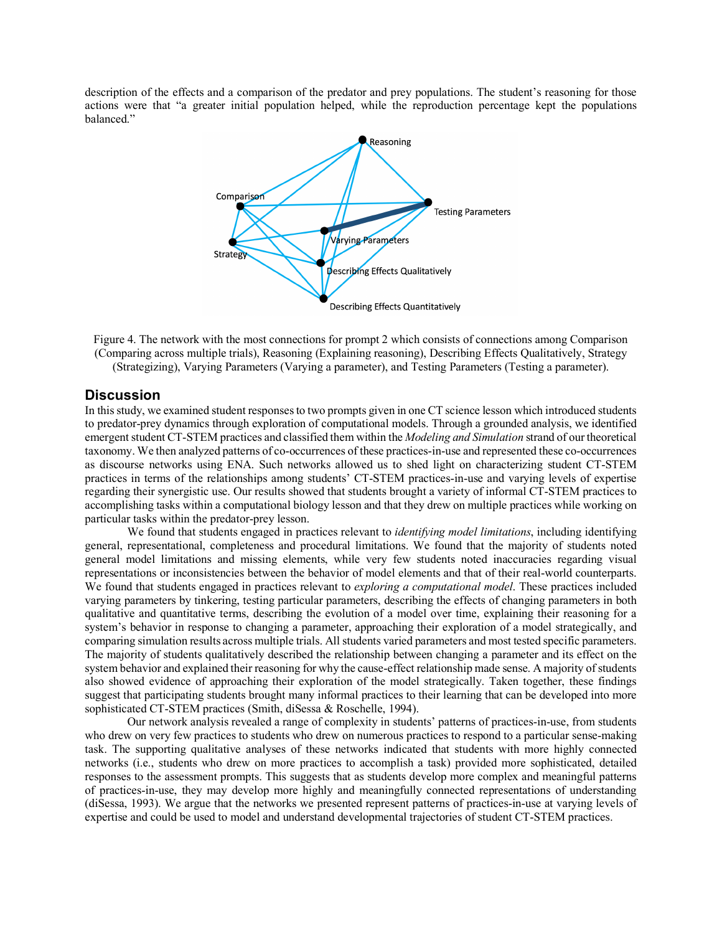description of the effects and a comparison of the predator and prey populations. The student's reasoning for those actions were that "a greater initial population helped, while the reproduction percentage kept the populations balanced."



Figure 4. The network with the most connections for prompt 2 which consists of connections among Comparison (Comparing across multiple trials), Reasoning (Explaining reasoning), Describing Effects Qualitatively, Strategy (Strategizing), Varying Parameters (Varying a parameter), and Testing Parameters (Testing a parameter).

## **Discussion**

In this study, we examined student responses to two prompts given in one CT science lesson which introduced students to predator-prey dynamics through exploration of computational models. Through a grounded analysis, we identified emergent student CT-STEM practices and classified them within the *Modeling and Simulation* strand of our theoretical taxonomy. We then analyzed patterns of co-occurrences of these practices-in-use and represented these co-occurrences as discourse networks using ENA. Such networks allowed us to shed light on characterizing student CT-STEM practices in terms of the relationships among students' CT-STEM practices-in-use and varying levels of expertise regarding their synergistic use. Our results showed that students brought a variety of informal CT-STEM practices to accomplishing tasks within a computational biology lesson and that they drew on multiple practices while working on particular tasks within the predator-prey lesson.

We found that students engaged in practices relevant to *identifying model limitations*, including identifying general, representational, completeness and procedural limitations. We found that the majority of students noted general model limitations and missing elements, while very few students noted inaccuracies regarding visual representations or inconsistencies between the behavior of model elements and that of their real-world counterparts. We found that students engaged in practices relevant to *exploring a computational model*. These practices included varying parameters by tinkering, testing particular parameters, describing the effects of changing parameters in both qualitative and quantitative terms, describing the evolution of a model over time, explaining their reasoning for a system's behavior in response to changing a parameter, approaching their exploration of a model strategically, and comparing simulation results across multiple trials. All students varied parameters and most tested specific parameters. The majority of students qualitatively described the relationship between changing a parameter and its effect on the system behavior and explained their reasoning for why the cause-effect relationship made sense. A majority of students also showed evidence of approaching their exploration of the model strategically. Taken together, these findings suggest that participating students brought many informal practices to their learning that can be developed into more sophisticated CT-STEM practices (Smith, diSessa & Roschelle, 1994).

Our network analysis revealed a range of complexity in students' patterns of practices-in-use, from students who drew on very few practices to students who drew on numerous practices to respond to a particular sense-making task. The supporting qualitative analyses of these networks indicated that students with more highly connected networks (i.e., students who drew on more practices to accomplish a task) provided more sophisticated, detailed responses to the assessment prompts. This suggests that as students develop more complex and meaningful patterns of practices-in-use, they may develop more highly and meaningfully connected representations of understanding (diSessa, 1993). We argue that the networks we presented represent patterns of practices-in-use at varying levels of expertise and could be used to model and understand developmental trajectories of student CT-STEM practices.